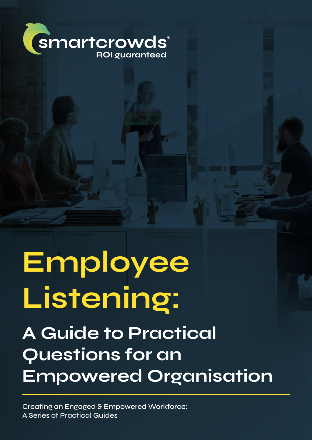

# **Employee Listening:**

# **A Guide to Practical Questions for an Empowered Organisation**

Creating an Engaged & Empowered Workforce: A Series of Practical Guides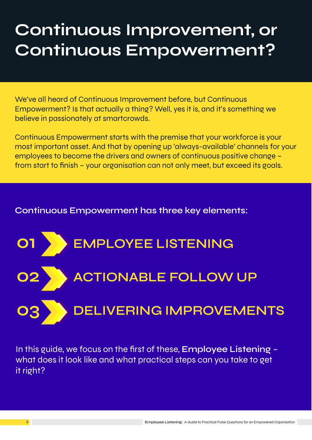## **Continuous Improvement, or Continuous Empowerment?**

We've all heard of Continuous Improvement before, but Continuous Empowerment? Is that actually a thing? Well, yes it is, and it's something we believe in passionately at smartcrowds.

Continuous Empowerment starts with the premise that your workforce is your most important asset. And that by opening up 'always-available' channels for your employees to become the drivers and owners of continuous positive change – from start to finish – your organisation can not only meet, but exceed its goals.

#### **Continuous Empowerment has three key elements:**



In this guide, we focus on the first of these, **Employee Listening** – what does it look like and what practical steps can you take to get it right?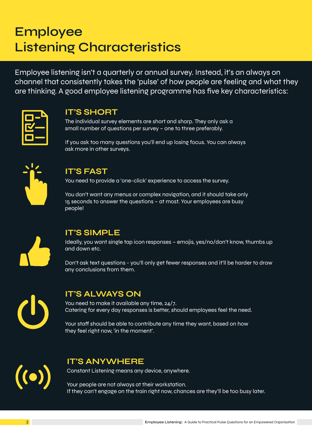### **Employee Listening Characteristics**

Employee listening isn't a quarterly or annual survey. Instead, it's an always on channel that consistently takes the 'pulse' of how people are feeling and what they are thinking. A good employee listening programme has five key characteristics:



#### **IT'S SHORT**

The individual survey elements are short and sharp. They only ask a small number of questions per survey – one to three preferably.

If you ask too many questions you'll end up losing focus. You can always ask more in other surveys.



#### **IT'S FAST**

You need to provide a 'one-click' experience to access the survey.

You don't want any menus or complex navigation, and it should take only 15 seconds to answer the questions – at most. Your employees are busy people!



#### **IT'S SIMPLE**

Ideally, you want single tap icon responses – emojis, yes/no/don't know, thumbs up and down etc.

Don't ask text questions - you'll only get fewer responses and it'll be harder to draw any conclusions from them.



#### **IT'S ALWAYS ON**

You need to make it available any time, 24/7. Catering for every day responses is better, should employees feel the need.

Your staff should be able to contribute any time they want, based on how they feel right now, 'in the moment'.



#### **IT'S ANYWHERE**

Constant Listening means any device, anywhere.

Your people are not always at their workstation. If they can't engage on the train right now, chances are they'll be too busy later.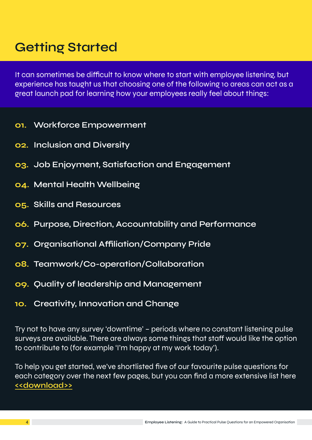### **Getting Started**

It can sometimes be difficult to know where to start with employee listening, but experience has taught us that choosing one of the following 10 areas can act as a great launch pad for learning how your employees really feel about things:

- **01. Workforce Empowerment**
- **02. Inclusion and Diversity**
- **03. Job Enjoyment, Satisfaction and Engagement**
- **04. Mental Health Wellbeing**
- **05. Skills and Resources**
- **06. Purpose, Direction, Accountability and Performance**
- **07. Organisational Affiliation/Company Pride**
- **08. Teamwork/Co-operation/Collaboration**
- **09. Quality of leadership and Management**
- **10. Creativity, Innovation and Change**

Try not to have any survey 'downtime' – periods where no constant listening pulse surveys are available. There are always some things that staff would like the option to contribute to (for example 'I'm happy at my work today').

To help you get started, we've shortlisted five of our favourite pulse questions for each category over the next few pages, but you can find a more extensive list here **[<<download>>](http://www2.smartcrowds.com/submit/download/5384)**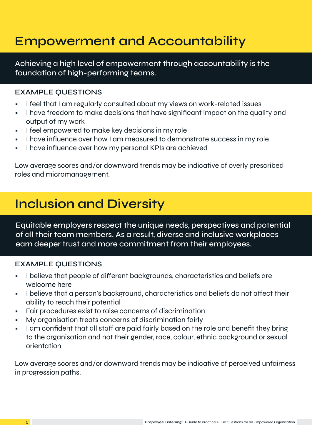### **Empowerment and Accountability**

Achieving a high level of empowerment through accountability is the foundation of high-performing teams.

#### **EXAMPLE QUESTIONS**

- I feel that I am regularly consulted about my views on work-related issues
- I have freedom to make decisions that have significant impact on the quality and output of my work
- I feel empowered to make key decisions in my role
- I have influence over how I am measured to demonstrate success in my role
- I have influence over how my personal KPIs are achieved

Low average scores and/or downward trends may be indicative of overly prescribed roles and micromanagement.

### **Inclusion and Diversity**

Equitable employers respect the unique needs, perspectives and potential of all their team members. As a result, diverse and inclusive workplaces earn deeper trust and more commitment from their employees.

#### **EXAMPLE QUESTIONS**

- I believe that people of different backgrounds, characteristics and beliefs are welcome here
- I believe that a person's background, characteristics and beliefs do not affect their ability to reach their potential
- Fair procedures exist to raise concerns of discrimination
- My organisation treats concerns of discrimination fairly
- I am confident that all staff are paid fairly based on the role and benefit they bring to the organisation and not their gender, race, colour, ethnic background or sexual orientation

Low average scores and/or downward trends may be indicative of perceived unfairness in progression paths.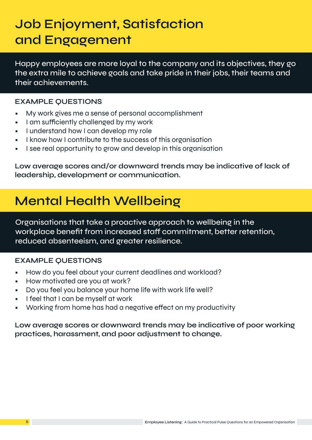### **Job Enjoyment, Satisfaction and Engagement**

Happy employees are more loyal to the company and its objectives, they go the extra mile to achieve goals and take pride in their jobs, their teams and their achievements.

#### **EXAMPLE QUESTIONS**

- My work gives me a sense of personal accomplishment
- I am sufficiently challenged by my work
- I understand how I can develop my role
- I know how I contribute to the success of this organisation
- I see real opportunity to grow and develop in this organisation

**Low average scores and/or downward trends may be indicative of lack of leadership, development or communication.**

### **Mental Health Wellbeing**

Organisations that take a proactive approach to wellbeing in the workplace benefit from increased staff commitment, better retention, reduced absenteeism, and greater resilience.

#### **EXAMPLE QUESTIONS**

- How do you feel about your current deadlines and workload?
- How motivated are you at work?
- Do you feel you balance your home life with work life well?
- I feel that I can be myself at work
- Working from home has had a negative effect on my productivity

**Low average scores or downward trends may be indicative of poor working practices, harassment, and poor adjustment to change.**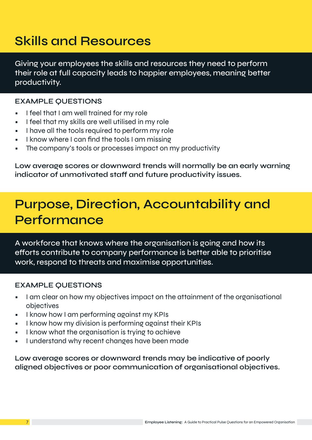### **Skills and Resources**

Giving your employees the skills and resources they need to perform their role at full capacity leads to happier employees, meaning better productivity.

#### **EXAMPLE QUESTIONS**

- I feel that I am well trained for my role
- I feel that my skills are well utilised in my role
- I have all the tools required to perform my role
- I know where I can find the tools I am missing
- The company's tools or processes impact on my productivity

**Low average scores or downward trends will normally be an early warning indicator of unmotivated staff and future productivity issues.**

### **Purpose, Direction, Accountability and Performance**

A workforce that knows where the organisation is going and how its efforts contribute to company performance is better able to prioritise work, respond to threats and maximise opportunities.

#### **EXAMPLE QUESTIONS**

- I am clear on how my objectives impact on the attainment of the organisational objectives
- I know how I am performing against my KPIs
- I know how my division is performing against their KPIs
- I know what the organisation is trying to achieve
- I understand why recent changes have been made

**Low average scores or downward trends may be indicative of poorly aligned objectives or poor communication of organisational objectives.**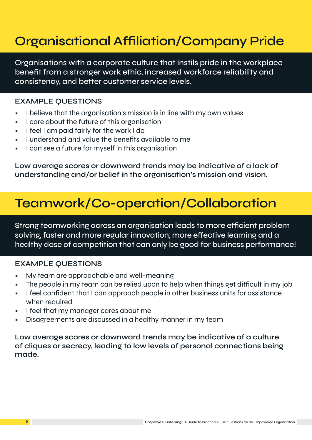### **Organisational Affiliation/Company Pride**

Organisations with a corporate culture that instils pride in the workplace benefit from a stronger work ethic, increased workforce reliability and consistency, and better customer service levels.

#### **EXAMPLE QUESTIONS**

- I believe that the organisation's mission is in line with my own values
- I care about the future of this organisation
- I feel I am paid fairly for the work I do
- I understand and value the benefits available to me
- I can see a future for myself in this organisation

**Low average scores or downward trends may be indicative of a lack of understanding and/or belief in the organisation's mission and vision.**

### **Teamwork/Co-operation/Collaboration**

Strong teamworking across an organisation leads to more efficient problem solving, faster and more regular innovation, more effective learning and a healthy dose of competition that can only be good for business performance!

#### **EXAMPLE QUESTIONS**

- My team are approachable and well-meaning
- The people in my team can be relied upon to help when things get difficult in my job
- I feel confident that I can approach people in other business units for assistance when required
- I feel that my manager cares about me
- Disagreements are discussed in a healthy manner in my team

**Low average scores or downward trends may be indicative of a culture of cliques or secrecy, leading to low levels of personal connections being made.**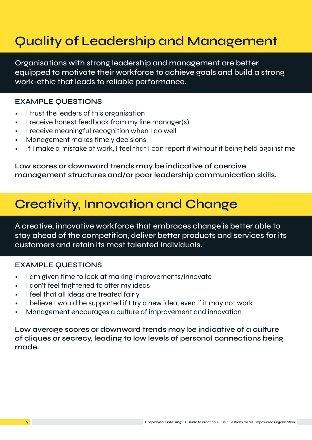### **Quality of Leadership and Management**

Organisations with strong leadership and management are better equipped to motivate their workforce to achieve goals and build a strong work-ethic that leads to reliable performance.

#### **EXAMPLE QUESTIONS**

- I trust the leaders of this organisation
- I receive honest feedback from my line manager(s)
- I receive meaningful recognition when I do well
- Management makes timely decisions
- If I make a mistake at work, I feel that I can report it without it being held against me

**Low scores or downward trends may be indicative of coercive management structures and/or poor leadership communication skills.** 

### **Creativity, Innovation and Change**

A creative, innovative workforce that embraces change is better able to stay ahead of the competition, deliver better products and services for its customers and retain its most talented individuals.

#### **EXAMPLE QUESTIONS**

- I am given time to look at making improvements/innovate
- I don't feel frightened to offer my ideas
- I feel that all ideas are treated fairly
- I believe I would be supported if I try a new idea, even if it may not work
- Management encourages a culture of improvement and innovation

**Low average scores or downward trends may be indicative of a culture of cliques or secrecy, leading to low levels of personal connections being made.**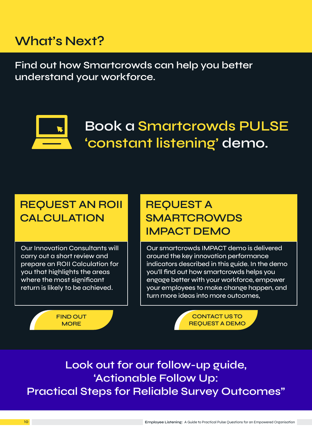### **What's Next?**

**Find out how Smartcrowds can help you better understand your workforce.** 



### **Book a Smartcrowds PULSE 'constant listening' demo.**

### **REQUEST AN ROII CALCULATION**

Our Innovation Consultants will carry out a short review and prepare an ROII Calculation for you that highlights the areas where the most significant return is likely to be achieved.

> **FIND OUT MORE**

### **REQUEST A SMARTCROWDS IMPACT DEMO**

Our smartcrowds IMPACT demo is delivered around the key innovation performance indicators described in this guide. In the demo you'll find out how smartcrowds helps you engage better with your workforce, empower your employees to make change happen, and turn more ideas into more outcomes,

> **CONTACT US TO REQUEST A DEMO**

**Look out for our follow-up guide, 'Actionable Follow Up: Practical Steps for Reliable Survey Outcomes"**